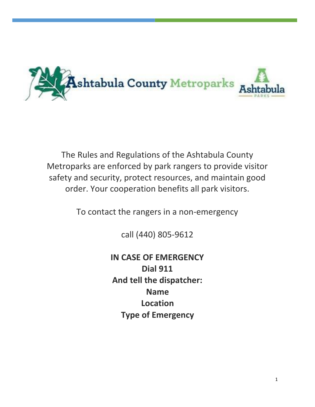

The Rules and Regulations of the Ashtabula County Metroparks are enforced by park rangers to provide visitor safety and security, protect resources, and maintain good order. Your cooperation benefits all park visitors.

To contact the rangers in a non-emergency

call (440) 805-9612

**IN CASE OF EMERGENCY Dial 911 And tell the dispatcher: Name Location Type of Emergency**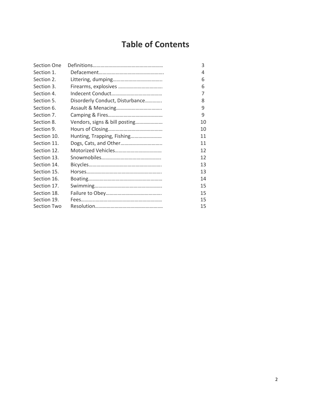# **Table of Contents**

| Section One        |                                 | 3  |
|--------------------|---------------------------------|----|
| Section 1.         |                                 | 4  |
| Section 2.         |                                 | 6  |
| Section 3.         |                                 | 6  |
| Section 4.         |                                 | 7  |
| Section 5.         | Disorderly Conduct, Disturbance | 8  |
| Section 6.         |                                 | 9  |
| Section 7.         |                                 | 9  |
| Section 8.         | Vendors, signs & bill posting   | 10 |
| Section 9.         |                                 | 10 |
| Section 10.        | Hunting, Trapping, Fishing      | 11 |
| Section 11.        | Dogs, Cats, and Other           | 11 |
| Section 12.        |                                 | 12 |
| Section 13.        |                                 | 12 |
| Section 14.        |                                 | 13 |
| Section 15.        |                                 | 13 |
| Section 16.        |                                 | 14 |
| Section 17.        |                                 | 15 |
| Section 18.        |                                 | 15 |
| Section 19.        |                                 | 15 |
| <b>Section Two</b> |                                 | 15 |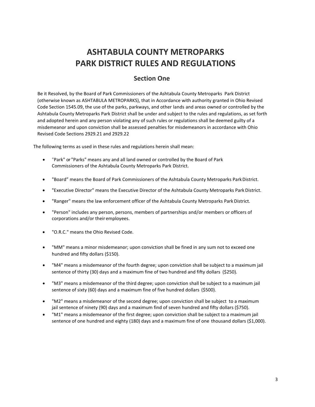# **ASHTABULA COUNTY METROPARKS PARK DISTRICT RULES AND REGULATIONS**

# **Section One**

Be it Resolved, by the Board of Park Commissioners of the Ashtabula County Metroparks Park District (otherwise known as ASHTABULA METROPARKS), that in Accordance with authority granted in Ohio Revised Code Section 1545.09, the use of the parks, parkways, and other lands and areas owned or controlled by the Ashtabula County Metroparks Park District shall be under and subject to the rules and regulations, as set forth and adopted herein and any person violating any of such rules or regulations shall be deemed guilty of a misdemeanor and upon conviction shall be assessed penalties for misdemeanors in accordance with Ohio Revised Code Sections 2929.21 and 2929.22

The following terms as used in these rules and regulations herein shall mean:

- "Park" or "Parks" means any and all land owned or controlled by the Board of Park Commissioners of the Ashtabula County Metroparks Park District.
- "Board" means the Board of Park Commissioners of the Ashtabula County Metroparks ParkDistrict.
- "Executive Director" means the Executive Director of the Ashtabula County Metroparks Park District.
- "Ranger" means the law enforcement officer of the Ashtabula County Metroparks ParkDistrict.
- "Person" includes any person, persons, members of partnerships and/or members or officers of corporations and/or their employees.
- "O.R.C." means the Ohio Revised Code.
- "MM" means a minor misdemeanor; upon conviction shall be fined in any sum not to exceed one hundred and fifty dollars (\$150).
- "M4" means a misdemeanor of the fourth degree; upon conviction shall be subject to a maximum jail sentence of thirty (30) days and a maximum fine of two hundred and fifty dollars (\$250).
- "M3" means a misdemeanor of the third degree; upon conviction shall be subject to a maximum jail sentence of sixty (60) days and a maximum fine of five hundred dollars (\$500).
- "M2" means a misdemeanor of the second degree; upon conviction shall be subject to a maximum jail sentence of ninety (90) days and a maximum find of seven hundred and fifty dollars (\$750).
- "M1" means a misdemeanor of the first degree; upon conviction shall be subject to a maximum jail sentence of one hundred and eighty (180) days and a maximum fine of one thousand dollars (\$1,000).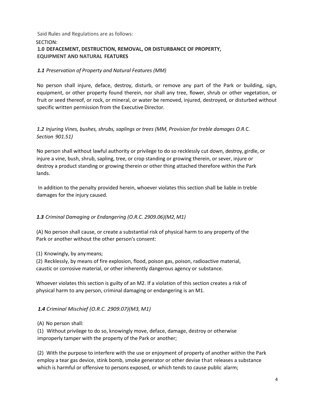# Said Rules and Regulations are as follows: SECTION: **1.0 DEFACEMENT, DESTRUCTION, REMOVAL, OR DISTURBANCE OF PROPERTY, EQUIPMENT AND NATURAL FEATURES**

# *1.1 Preservation of Property and Natural Features (MM)*

No person shall injure, deface, destroy, disturb, or remove any part of the Park or building, sign, equipment, or other property found therein, nor shall any tree, flower, shrub or other vegetation, or fruit or seed thereof, or rock, or mineral, or water be removed, injured, destroyed, or disturbed without specific written permission from the Executive Director.

# *1.2 Injuring Vines, bushes, shrubs, saplings or trees (MM, Provision for treble damages O.R.*C. *Section 901.51)*

No person shall without lawful authority or privilege to do so recklessly cut down, destroy, girdle, or injure a vine, bush, shrub, sapling, tree, or crop standing or growing therein, or sever, injure or destroy a product standing or growing therein or other thing attached therefore within the Park lands.

In addition to the penalty provided herein, whoever violates this section shall be liable in treble damages for the injury caused.

# *1.3 Criminal Damaging or Endangering (O.R.C. 2909.06)(M2,M1)*

(A) No person shall cause, or create a substantial risk of physical harm to any property of the Park or another without the other person's consent:

(1) Knowingly, by anymeans;

(2) Recklessly, by means of fire explosion, flood, poison gas, poison, radioactive material, caustic or corrosive material, or other inherently dangerous agency or substance.

Whoever violates this section is guilty of an M2. If a violation of this section creates a risk of physical harm to any person, criminal damaging or endangering is an M1.

# *1.4 Criminal Mischief (O.R.C. 2909.07)(M3, M1)*

(A) No person shall:

(1) Without privilege to do so, knowingly move, deface, damage, destroy or otherwise improperly tamper with the property of the Park or another;

(2) With the purpose to interfere with the use or enjoyment of property of another within the Park employ a tear gas device, stink bomb, smoke generator or other devise that releases a substance which is harmful or offensive to persons exposed, or which tends to cause public alarm;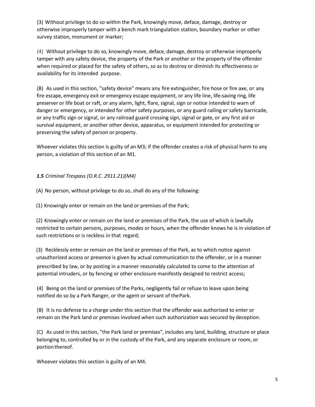(3) Without privilege to do so within the Park, knowingly move, deface, damage, destroy or otherwise improperly tamper with a bench mark triangulation station, boundary marker or other survey station, monument or marker;

(4) Without privilege to do so, knowingly move, deface, damage, destroy or otherwise improperly tamper with any safety device, the property of the Park or another or the property of the offender when required or placed for the safety of others, so as to destroy or diminish its effectiveness or availability for its intended purpose.

(B) As used in this section, "safety device" means any fire extinguisher, fire hose or fire axe, or any fire escape, emergency exit or emergency escape equipment, or any life line, life-saving ring, life preserver or life boat or raft, or any alarm, light, flare, signal, sign or notice intended to warn of danger or emergency, or intended for other safety purposes, or any guard railing or safety barricade, or any traffic sign or signal, or any railroad guard crossing sign, signal or gate, or any first aid or survival equipment, or another other device, apparatus, or equipment intended for protecting or preserving the safety of person or property.

Whoever violates this section is guilty of an M3; if the offender creates a risk of physical harm to any person, a violation of this section of an M1.

# *1.5 Criminal Trespass (O.R.C. 2911.21)(M4)*

(A) No person, without privilege to do so, shall do any of the following:

(1) Knowingly enter or remain on the land or premises of the Park;

(2) Knowingly enter or remain on the land or premises of the Park, the use of which is lawfully restricted to certain persons, purposes, modes or hours, when the offender knows he is in violation of such restrictions or is reckless in that regard;

(3) Recklessly enter or remain on the land or premises of the Park, as to which notice against unauthorized access or presence is given by actual communication to the offender, or in a manner

prescribed by law, or by posting in a manner reasonably calculated to come to the attention of potential intruders, or by fencing or other enclosure manifestly designed to restrict access;

(4) Being on the land or premises of the Parks, negligently fail or refuse to leave upon being notified do so by a Park Ranger, or the agent or servant of thePark.

(B) It is no defense to a charge under this section that the offender was authorized to enter or remain on the Park land or premises involved when such authorization was secured by deception.

(C) As used in this section, "the Park land or premises", includes any land, building, structure or place belonging to, controlled by or in the custody of the Park, and any separate enclosure or room, or portion thereof.

Whoever violates this section is guilty of an M4.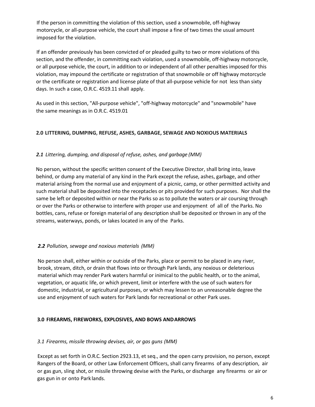If the person in committing the violation of this section, used a snowmobile, off-highway motorcycle, or all-purpose vehicle, the court shall impose a fine of two times the usual amount imposed for the violation.

If an offender previously has been convicted of or pleaded guilty to two or more violations of this section, and the offender, in committing each violation, used a snowmobile, off-highway motorcycle, or all purpose vehicle, the court, in addition to or independent of all other penalties imposed for this violation, may impound the certificate or registration of that snowmobile or off highway motorcycle or the certificate or registration and license plate of that all-purpose vehicle for not less than sixty days. In such a case, O.R.C. 4519.11 shall apply.

As used in this section, "All-purpose vehicle", "off-highway motorcycle" and "snowmobile" have the same meanings as in O.R.C. 4519.01

# **2.0 LITTERING, DUMPING, REFUSE, ASHES, GARBAGE, SEWAGE AND NOXIOUS MATERIALS**

## *2.1 Littering, dumping, and disposal of refuse, ashes, and garbage (MM)*

No person, without the specific written consent of the Executive Director, shall bring into, leave behind, or dump any material of any kind in the Park except the refuse, ashes, garbage, and other material arising from the normal use and enjoyment of a picnic, camp, or other permitted activity and such material shall be deposited into the receptacles or pits provided for such purposes. Nor shall the same be left or deposited within or near the Parks so as to pollute the waters or air coursing through or over the Parks or otherwise to interfere with proper use and enjoyment of all of the Parks. No bottles, cans, refuse or foreign material of any description shall be deposited or thrown in any of the streams, waterways, ponds, or lakes located in any of the Parks.

# *2.2 Pollution, sewage and noxious materials (MM)*

No person shall, either within or outside of the Parks, place or permit to be placed in any river, brook, stream, ditch, or drain that flows into or through Park lands, any noxious or deleterious material which may render Park waters harmful or inimical to the public health, or to the animal, vegetation, or aquatic life, or which prevent, limit or interfere with the use of such waters for domestic, industrial, or agricultural purposes, or which may lessen to an unreasonable degree the use and enjoyment of such waters for Park lands for recreational or other Park uses.

## **3.0 FIREARMS, FIREWORKS, EXPLOSIVES, AND BOWS ANDARROWS**

## *3.1 Firearms, missile throwing devises, air, or gas guns (MM)*

Except as set forth in O.R.C. Section 2923.13, et seq., and the open carry provision, no person, except Rangers of the Board, or other Law Enforcement Officers, shall carry firearms of any description, air or gas gun, sling shot, or missile throwing devise with the Parks, or discharge any firearms or air or gas gun in or onto Park lands.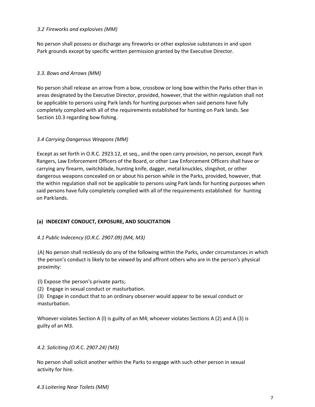## *3.2 Fireworks and explosives (MM)*

No person shall possess or discharge any fireworks or other explosive substances in and upon Park grounds except by specific written permission granted by the Executive Director.

# *3.3. Bows and Arrows (MM)*

No person shall release an arrow from a bow, crossbow or long bow within the Parks other than in areas designated by the Executive Director, provided, however, that the within regulation shall not be applicable to persons using Park lands for hunting purposes when said persons have fully completely complied with all of the requirements established for hunting on Park lands. See Section 10.3 regarding bow fishing.

## *3.4 Carrying Dangerous Weapons (MM)*

Except as set forth in O.R.C. 2923.12, et seq., and the open carry provision, no person, except Park Rangers, Law Enforcement Officers of the Board, or other Law Enforcement Officers shall have or carrying any firearm, switchblade, hunting knife, dagger, metal knuckles, slingshot, or other dangerous weapons concealed on or about his person while in the Parks, provided, however, that the within regulation shall not be applicable to persons using Park lands for hunting purposes when said persons have fully completely complied with all of the requirements established for hunting on Parklands.

# **(a) INDECENT CONDUCT, EXPOSURE, AND SOLICITATION**

## *4.1 Public Indecency (O.R.C. 2907.09) (M4, M3)*

(A) No person shall recklessly do any of the following within the Parks, under circumstances in which the person's conduct is likely to be viewed by and affront others who are in the person's physical proximity:

(l) Expose the person's private parts;

(2) Engage in sexual conduct or masturbation.

(3) Engage in conduct that to an ordinary observer would appear to be sexual conduct or masturbation.

Whoever violates Section A (l) is guilty of an M4; whoever violates Sections A (2) and A (3) is guilty of an M3.

## *4.2. Soliciting (O.R.*C. *2907.24) (M3)*

No person shall solicit another within the Parks to engage with such other person in sexual activity for hire.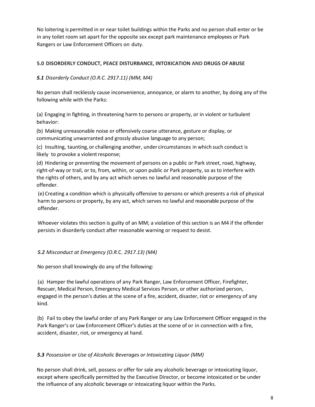No loitering is permitted in or near toilet buildings within the Parks and no person shall enter or be in any toilet room set apart for the opposite sex except park maintenance employees or Park Rangers or Law Enforcement Officers on duty.

# **5.0 DISORDERLY CONDUCT, PEACE DISTURBANCE, INTOXICATION AND DRUGS OFABUSE**

*5.1 Disorderly Conduct (O.R.C. 2917.11) (MM, M4)*

No person shall recklessly cause inconvenience, annoyance, or alarm to another, by doing any of the following while with the Parks:

(a) Engaging in fighting, in threatening harm to persons or property, or in violent or turbulent behavior:

(b) Making unreasonable noise or offensively coarse utterance, gesture or display, or communicating unwarranted and grossly abusive language to any person;

(c) Insulting, taunting, or challenging another, under circumstances in which such conduct is likely to provoke a violent response;

(d) Hindering or preventing the movement of persons on a public or Park street, road, highway, right-of-way or trail, or to, from, within, or upon public or Park property, so as to interfere with the rights of others, and by any act which serves no lawful and reasonable purpose of the offender.

(e)Creating a condition which is physically offensive to persons or which presents a risk of physical harm to persons or property, by any act, which serves no lawful and reasonable purpose of the offender.

Whoever violates this section is guilty of an MM; a violation of this section is an M4 if the offender persists in disorderly conduct after reasonable warning or request to desist.

# *5.2 Misconduct at Emergency (O.R.*C. *2917.13) (M4)*

No person shall knowingly do any of the following:

(a) Hamper the lawful operations of any Park Ranger, Law Enforcement Officer, Firefighter, Rescuer, Medical Person, Emergency Medical Services Person, or other authorized person, engaged in the person's duties at the scene of a fire, accident, disaster, riot or emergency of any kind.

(b) Fail to obey the lawful order of any Park Ranger or any Law Enforcement Officer engaged in the Park Ranger's or Law Enforcement Officer's duties at the scene of or in connection with a fire, accident, disaster, riot, or emergency at hand.

## *5.3 Possession or Use of Alcoholic Beverages or Intoxicating Liquor (MM)*

No person shall drink, sell, possess or offer for sale any alcoholic beverage or intoxicating liquor, except where specifically permitted by the Executive Director, or become intoxicated or be under the influence of any alcoholic beverage or intoxicating liquor within the Parks.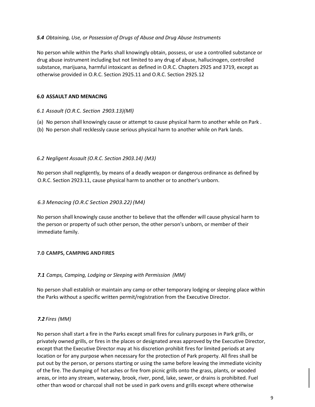## *5.4 Obtaining, Use, or Possession of Drugs of Abuse and Drug Abuse Instruments*

No person while within the Parks shall knowingly obtain, possess, or use a controlled substance or drug abuse instrument including but not limited to any drug of abuse, hallucinogen, controlled substance, marijuana, harmful intoxicant as defined in O.R.C. Chapters 2925 and 3719, except as otherwise provided in O.R.C. Section 2925.11 and O.R.C. Section 2925.12

## **6.0 ASSAULT AND MENACING**

- *6.1 Assault (O.R.*C. *Section 2903.13)(Ml)*
- (a) No person shall knowingly cause or attempt to cause physical harm to another while on Park .
- (b) No person shall recklessly cause serious physical harm to another while on Park lands.

## *6.2 Negligent Assault (O.R.C. Section 2903.14) (M3)*

No person shall negligently, by means of a deadly weapon or dangerous ordinance as defined by O.R.C. Section 2923.11, cause physical harm to another or to another's unborn.

#### *6.3 Menacing (O.R.C Section 2903.22) (M4)*

No person shall knowingly cause another to believe that the offender will cause physical harm to the person or property of such other person, the other person's unborn, or member of their immediate family.

## **7.0 CAMPS, CAMPING ANDFIRES**

## *7.1 Camps, Camping, Lodging or Sleeping with Permission (MM)*

No person shall establish or maintain any camp or other temporary lodging or sleeping place within the Parks without a specific written permit/registration from the Executive Director.

## *7.2 Fires (MM)*

No person shall start a fire in the Parks except small fires for culinary purposes in Park grills, or privately owned grills, or fires in the places or designated areas approved by the Executive Director, except that the Executive Director may at his discretion prohibit fires for limited periods at any location or for any purpose when necessary for the protection of Park property. All fires shall be put out by the person, or persons starting or using the same before leaving the immediate vicinity of the fire. The dumping of hot ashes or fire from picnic grills onto the grass, plants, or wooded areas, or into any stream, waterway, brook, river, pond, lake, sewer, or drains is prohibited. Fuel other than wood or charcoal shall not be used in park ovens and grills except where otherwise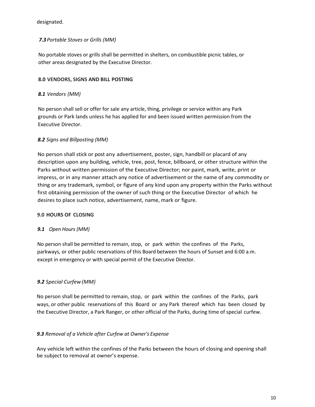# designated.

# *7.3 Portable Stoves or Grills (MM)*

No portable stoves or grills shall be permitted in shelters, on combustible picnic tables, or other areas designated by the Executive Director.

# **8.0 VENDORS, SIGNS AND BILL POSTING**

# *8.1 Vendors (MM)*

No person shall sell or offer for sale any article, thing, privilege or service within any Park grounds or Park lands unless he has applied for and been issued written permission from the Executive Director.

# *8.2 Signs and Billposting (MM)*

No person shall stick or post any advertisement, poster, sign, handbill or placard of any description upon any building, vehicle, tree, post, fence, billboard, or other structure within the Parks without written permission of the Executive Director; nor paint, mark, write, print or impress, or in any manner attach any notice of advertisement or the name of any commodity or thing or any trademark, symbol, or figure of any kind upon any property within the Parks without first obtaining permission of the owner of such thing or the Executive Director of which he desires to place such notice, advertisement, name, mark or figure.

# **9.0 HOURS OF CLOSING**

# *9.1 Open Hours (MM)*

No person shall be permitted to remain, stop, or park within the confines of the Parks, parkways, or other public reservations of this Board between the hours of Sunset and 6:00 a.m. except in emergency or with special permit of the Executive Director.

# *9.2 Special Curfew(MM)*

No person shall be permitted to remain, stop, or park within the confines of the Parks, park ways, or other public reservations of this Board or any Park thereof which has been closed by the Executive Director, a Park Ranger, or other official of the Parks, during time of special curfew.

# *9.3 Removal of a Vehicle after Curfew at Owner's Expense*

Any vehicle left within the confines of the Parks between the hours of closing and opening shall be subject to removal at owner's expense.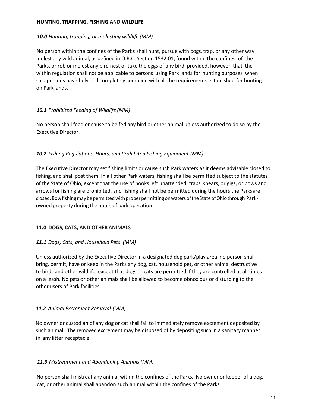## **HUNTING, TRAPPING, FISHING AND WILDLIFE**

## *10.0 Hunting, trapping, or molesting wildlife (MM)*

No person within the confines of the Parks shall hunt, pursue with dogs, trap, or any other way molest any wild animal, as defined in O.R.C. Section 1532.01, found within the confines of the Parks, or rob or molest any bird nest or take the eggs of any bird, provided, however that the within regulation shall not be applicable to persons using Park lands for hunting purposes when said persons have fully and completely complied with all the requirements established for hunting on Park lands.

# *10.1 Prohibited Feeding of Wildlife (MM)*

No person shall feed or cause to be fed any bird or other animal unless authorized to do so by the Executive Director.

## *10.2 Fishing Regulations, Hours, and Prohibited Fishing Equipment (MM)*

The Executive Director may set fishing limits or cause such Park waters as it deems advisable closed to fishing, and shall post them. In all other Park waters, fishing shall be permitted subject to the statutes of the State of Ohio, except that the use of hooks left unattended, traps, spears, or gigs, or bows and arrows for fishing are prohibited, and fishing shall not be permitted during the hours the Parks are closed. Bow fishing may be permitted with proper permitting on waters of the State of Ohio through Parkowned property during the hours of park operation.

# **11.0 DOGS, CATS, AND OTHER ANIMALS**

# *11.1 Dogs, Cats, and Household Pets (MM)*

Unless authorized by the Executive Director in a designated dog park/play area, no person shall bring, permit, have or keep in the Parks any dog, cat, household pet, or other animal destructive to birds and other wildlife, except that dogs or cats are permitted if they are controlled at all times on a leash. No pets or other animals shall be allowed to become obnoxious or disturbing to the other users of Park facilities.

# *11.2 Animal Excrement Removal (MM)*

No owner or custodian of any dog or cat shall fail to immediately remove excrement deposited by such animal. The removed excrement may be disposed of by depositing such in a sanitary manner in any litter receptacle.

# *11.3 Mistreatment and Abandoning Animals (MM)*

No person shall mistreat any animal within the confines of the Parks. No owner or keeper of a dog, cat, or other animal shall abandon such animal within the confines of the Parks.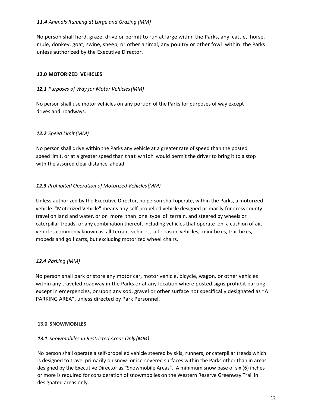## *11.4 Animals Running at Large and Grazing (MM)*

No person shall herd, graze, drive or permit to run at large within the Parks, any cattle, horse, mule, donkey, goat, swine, sheep, or other animal, any poultry or other fowl within the Parks unless authorized by the Executive Director.

## **12.0 MOTORIZED VEHICLES**

## *12.1 Purposes of Way for Motor Vehicles(MM)*

No person shall use motor vehicles on any portion of the Parks for purposes of way except drives and roadways.

## *12.2 Speed Limit(MM)*

No person shall drive within the Parks any vehicle at a greater rate of speed than the posted speed limit, or at a greater speed than that which would permit the driver to bring it to a stop with the assured clear distance ahead.

## *12.3 Prohibited Operation of Motorized Vehicles(MM)*

Unless authorized by the Executive Director, no person shall operate, within the Parks, a motorized vehicle. "Motorized Vehicle" means any self-propelled vehicle designed primarily for cross county travel on land and water, or on more than one type of terrain, and steered by wheels or caterpillar treads, or any combination thereof, including vehicles that operate on a cushion of air, vehicles commonly known as all-terrain vehicles, all season vehicles, mini-bikes, trail bikes, mopeds and golf carts, but excluding motorized wheel chairs.

# *12.4 Parking (MM)*

No person shall park or store any motor car, motor vehicle, bicycle, wagon, or other vehicles within any traveled roadway in the Parks or at any location where posted signs prohibit parking except in emergencies, or upon any sod, gravel or other surface not specifically designated as "A PARKING AREA", unless directed by Park Personnel.

## **13.0 SNOWMOBILES**

## *13.1 Snowmobiles in Restricted Areas Only(MM)*

No person shall operate a self-propelled vehicle steered by skis, runners, or caterpillar treads which is designed to travel primarily on snow- or ice-covered surfaces within the Parks other than in areas designed by the Executive Director as "Snowmobile Areas". A minimum snow base of six (6) inches or more is required for consideration of snowmobiles on the Western Reserve Greenway Trail in designated areas only.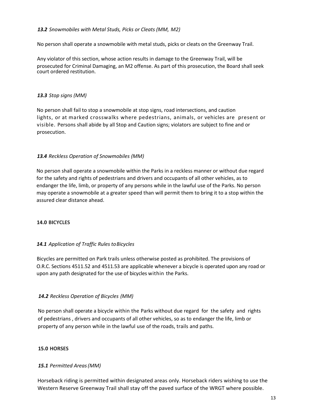## *13.2 Snowmobiles with Metal Studs, Picks or Cleats (MM, M2)*

No person shall operate a snowmobile with metal studs, picks or cleats on the Greenway Trail.

Any violator of this section, whose action results in damage to the Greenway Trail, will be prosecuted for Criminal Damaging, an M2 offense. As part of this prosecution, the Board shall seek court ordered restitution.

## *13.3 Stop signs (MM)*

No person shall fail to stop a snowmobile at stop signs, road intersections, and caution lights, or at marked crosswalks where pedestrians, animals, or vehicles are present or visible. Persons shall abide by all Stop and Caution signs; violators are subject to fine and or prosecution.

#### *13.4 Reckless Operation of Snowmobiles (MM)*

No person shall operate a snowmobile within the Parks in a reckless manner or without due regard for the safety and rights of pedestrians and drivers and occupants of all other vehicles, as to endanger the life, limb, or property of any persons while in the lawful use of the Parks. No person may operate a snowmobile at a greater speed than will permit them to bring it to a stop within the assured clear distance ahead.

#### **14.0 BICYCLES**

## *14.1 Application of Traffic Rules toBicycles*

Bicycles are permitted on Park trails unless otherwise posted as prohibited. The provisions of O.R.C. Sections 4511.52 and 4511.53 are applicable whenever a bicycle is operated upon any road or upon any path designated for the use of bicycles within the Parks.

## *14.2 Reckless Operation of Bicycles (MM)*

No person shall operate a bicycle within the Parks without due regard for the safety and rights of pedestrians , drivers and occupants of all other vehicles, so as to endanger the life, limb or property of any person while in the lawful use of the roads, trails and paths.

#### **15.0 HORSES**

## *15.1 Permitted Areas(MM)*

Horseback riding is permitted within designated areas only. Horseback riders wishing to use the Western Reserve Greenway Trail shall stay off the paved surface of the WRGT where possible.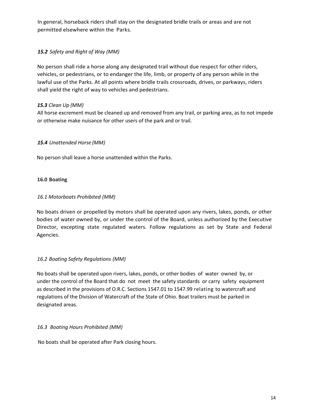In general, horseback riders shall stay on the designated bridle trails or areas and are not permitted elsewhere within the Parks.

# *15.2 Safety and Right of Way (MM)*

No person shall ride a horse along any designated trail without due respect for other riders, vehicles, or pedestrians, or to endanger the life, limb, or property of any person while in the lawful use of the Parks. At all points where bridle trails crossroads, drives, or parkways, riders shall yield the right of way to vehicles and pedestrians.

# *15.3 Clean Up (MM)*

All horse excrement must be cleaned up and removed from any trail, or parking area, as to not impede or otherwise make nuisance for other users of the park and or trail.

# *15.4 Unattended Horse (MM)*

No person shall leave a horse unattended within the Parks.

## **16.0 Boating**

## *16.1 Motorboats Prohibited (MM)*

No boats driven or propelled by motors shall be operated upon any rivers, lakes, ponds, or other bodies of water owned by, or under the control of the Board, unless authorized by the Executive Director, excepting state regulated waters. Follow regulations as set by State and Federal Agencies.

# *16.2 Boating Safety Regulations (MM)*

No boats shall be operated upon rivers, lakes, ponds, or other bodies of water owned by, or under the control of the Board that do not meet the safety standards or carry safety equipment as described in the provisions of O.R.C. Sections 1547.01 to 1547.99 relating to watercraft and regulations of the Division of Watercraft of the State of Ohio. Boat trailers must be parked in designated areas.

## *16.3 Boating Hours Prohibited (MM)*

No boats shall be operated after Park closing hours.